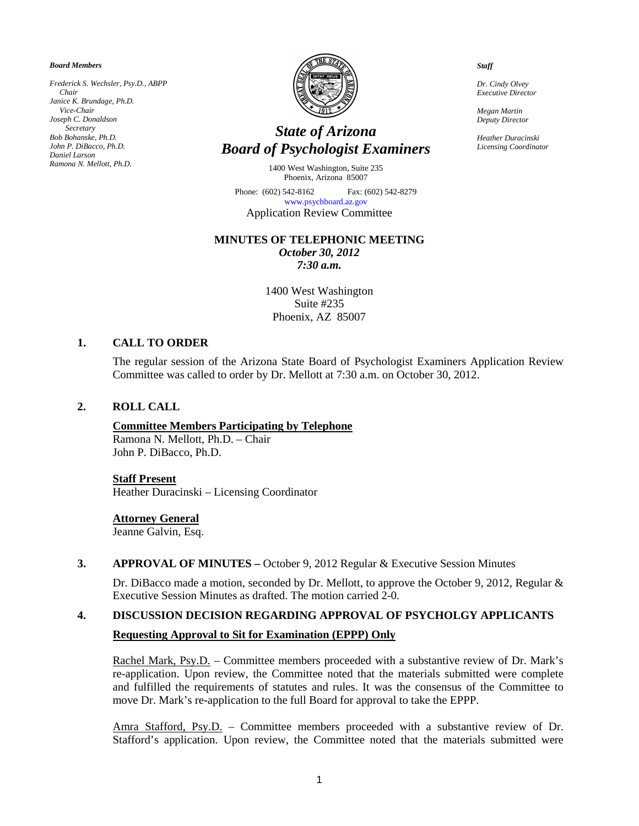*Board Members*

*Frederick S. Wechsler, Psy.D., ABPP Chair Janice K. Brundage, Ph.D. Vice-Chair Joseph C. Donaldson Secretary Bob Bohanske, Ph.D. John P. DiBacco, Ph.D. Daniel Larson Ramona N. Mellott, Ph.D.*



# *State of Arizona Board of Psychologist Examiners*

1400 West Washington, Suite 235 Phoenix, Arizona 85007

Phone: (602) 542-8162 Fax: (602) 542-8279 [www.psychboard.az.gov](http://www.psychboard.az.gov/)  Application Review Committee

# **MINUTES OF TELEPHONIC MEETING**

*October 30, 2012 7:30 a.m.*

1400 West Washington Suite #235 Phoenix, AZ 85007

# **1. CALL TO ORDER**

The regular session of the Arizona State Board of Psychologist Examiners Application Review Committee was called to order by Dr. Mellott at 7:30 a.m. on October 30, 2012.

## **2. ROLL CALL**

## **Committee Members Participating by Telephone**

Ramona N. Mellott, Ph.D. – Chair John P. DiBacco, Ph.D.

#### **Staff Present**

Heather Duracinski – Licensing Coordinator

#### **Attorney General**

Jeanne Galvin, Esq.

#### **3. APPROVAL OF MINUTES –** October 9, 2012 Regular & Executive Session Minutes

Dr. DiBacco made a motion, seconded by Dr. Mellott, to approve the October 9, 2012, Regular & Executive Session Minutes as drafted. The motion carried 2-0.

#### **4. DISCUSSION DECISION REGARDING APPROVAL OF PSYCHOLGY APPLICANTS**

## **Requesting Approval to Sit for Examination (EPPP) Only**

Rachel Mark, Psy.D. – Committee members proceeded with a substantive review of Dr. Mark's re-application. Upon review, the Committee noted that the materials submitted were complete and fulfilled the requirements of statutes and rules. It was the consensus of the Committee to move Dr. Mark's re-application to the full Board for approval to take the EPPP.

Amra Stafford, Psy.D. – Committee members proceeded with a substantive review of Dr. Stafford's application. Upon review, the Committee noted that the materials submitted were

*Staff*

*Dr. Cindy Olvey Executive Director*

*Megan Martin Deputy Director*

*Heather Duracinski Licensing Coordinator*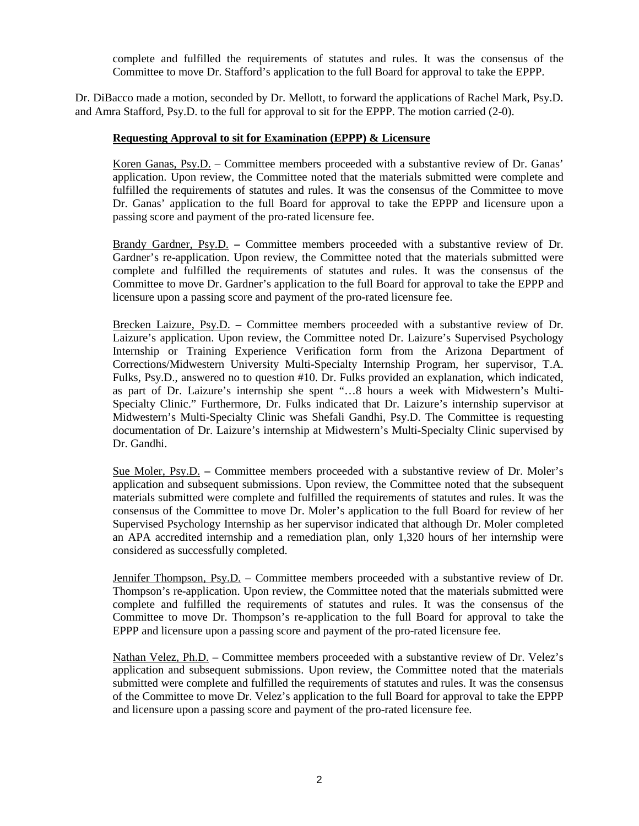complete and fulfilled the requirements of statutes and rules. It was the consensus of the Committee to move Dr. Stafford's application to the full Board for approval to take the EPPP.

Dr. DiBacco made a motion, seconded by Dr. Mellott, to forward the applications of Rachel Mark, Psy.D. and Amra Stafford, Psy.D. to the full for approval to sit for the EPPP. The motion carried (2-0).

## **Requesting Approval to sit for Examination (EPPP) & Licensure**

Koren Ganas, Psy.D. – Committee members proceeded with a substantive review of Dr. Ganas' application. Upon review, the Committee noted that the materials submitted were complete and fulfilled the requirements of statutes and rules. It was the consensus of the Committee to move Dr. Ganas' application to the full Board for approval to take the EPPP and licensure upon a passing score and payment of the pro-rated licensure fee.

Brandy Gardner, Psy.D. **–** Committee members proceeded with a substantive review of Dr. Gardner's re-application. Upon review, the Committee noted that the materials submitted were complete and fulfilled the requirements of statutes and rules. It was the consensus of the Committee to move Dr. Gardner's application to the full Board for approval to take the EPPP and licensure upon a passing score and payment of the pro-rated licensure fee.

Brecken Laizure, Psy.D. **–** Committee members proceeded with a substantive review of Dr. Laizure's application. Upon review, the Committee noted Dr. Laizure's Supervised Psychology Internship or Training Experience Verification form from the Arizona Department of Corrections/Midwestern University Multi-Specialty Internship Program, her supervisor, T.A. Fulks, Psy.D., answered no to question #10. Dr. Fulks provided an explanation, which indicated, as part of Dr. Laizure's internship she spent "…8 hours a week with Midwestern's Multi-Specialty Clinic." Furthermore, Dr. Fulks indicated that Dr. Laizure's internship supervisor at Midwestern's Multi-Specialty Clinic was Shefali Gandhi, Psy.D. The Committee is requesting documentation of Dr. Laizure's internship at Midwestern's Multi-Specialty Clinic supervised by Dr. Gandhi.

Sue Moler, Psy.D. **–** Committee members proceeded with a substantive review of Dr. Moler's application and subsequent submissions. Upon review, the Committee noted that the subsequent materials submitted were complete and fulfilled the requirements of statutes and rules. It was the consensus of the Committee to move Dr. Moler's application to the full Board for review of her Supervised Psychology Internship as her supervisor indicated that although Dr. Moler completed an APA accredited internship and a remediation plan, only 1,320 hours of her internship were considered as successfully completed.

Jennifer Thompson, Psy.D. – Committee members proceeded with a substantive review of Dr. Thompson's re-application. Upon review, the Committee noted that the materials submitted were complete and fulfilled the requirements of statutes and rules. It was the consensus of the Committee to move Dr. Thompson's re-application to the full Board for approval to take the EPPP and licensure upon a passing score and payment of the pro-rated licensure fee.

Nathan Velez, Ph.D. – Committee members proceeded with a substantive review of Dr. Velez's application and subsequent submissions. Upon review, the Committee noted that the materials submitted were complete and fulfilled the requirements of statutes and rules. It was the consensus of the Committee to move Dr. Velez's application to the full Board for approval to take the EPPP and licensure upon a passing score and payment of the pro-rated licensure fee.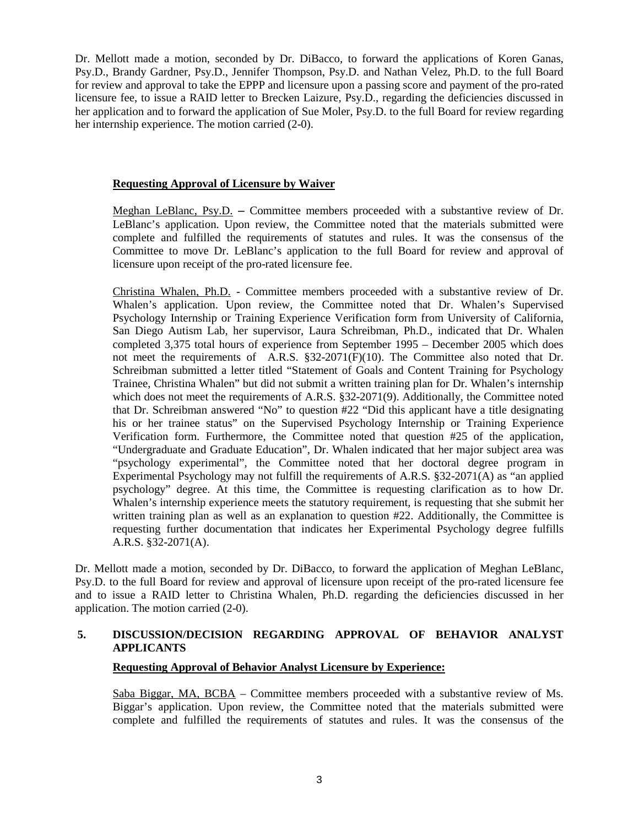Dr. Mellott made a motion, seconded by Dr. DiBacco, to forward the applications of Koren Ganas, Psy.D., Brandy Gardner, Psy.D., Jennifer Thompson, Psy.D. and Nathan Velez, Ph.D. to the full Board for review and approval to take the EPPP and licensure upon a passing score and payment of the pro-rated licensure fee, to issue a RAID letter to Brecken Laizure, Psy.D., regarding the deficiencies discussed in her application and to forward the application of Sue Moler, Psy.D. to the full Board for review regarding her internship experience. The motion carried (2-0).

## **Requesting Approval of Licensure by Waiver**

Meghan LeBlanc, Psy.D. **–** Committee members proceeded with a substantive review of Dr. LeBlanc's application. Upon review, the Committee noted that the materials submitted were complete and fulfilled the requirements of statutes and rules. It was the consensus of the Committee to move Dr. LeBlanc's application to the full Board for review and approval of licensure upon receipt of the pro-rated licensure fee.

Christina Whalen, Ph.D. - Committee members proceeded with a substantive review of Dr. Whalen's application. Upon review, the Committee noted that Dr. Whalen's Supervised Psychology Internship or Training Experience Verification form from University of California, San Diego Autism Lab, her supervisor, Laura Schreibman, Ph.D., indicated that Dr. Whalen completed 3,375 total hours of experience from September 1995 – December 2005 which does not meet the requirements of A.R.S. §32-2071(F)(10). The Committee also noted that Dr. Schreibman submitted a letter titled "Statement of Goals and Content Training for Psychology Trainee, Christina Whalen" but did not submit a written training plan for Dr. Whalen's internship which does not meet the requirements of A.R.S. §32-2071(9). Additionally, the Committee noted that Dr. Schreibman answered "No" to question #22 "Did this applicant have a title designating his or her trainee status" on the Supervised Psychology Internship or Training Experience Verification form. Furthermore, the Committee noted that question #25 of the application, "Undergraduate and Graduate Education", Dr. Whalen indicated that her major subject area was "psychology experimental", the Committee noted that her doctoral degree program in Experimental Psychology may not fulfill the requirements of A.R.S. §32-2071(A) as "an applied psychology" degree. At this time, the Committee is requesting clarification as to how Dr. Whalen's internship experience meets the statutory requirement, is requesting that she submit her written training plan as well as an explanation to question #22. Additionally, the Committee is requesting further documentation that indicates her Experimental Psychology degree fulfills A.R.S. §32-2071(A).

Dr. Mellott made a motion, seconded by Dr. DiBacco, to forward the application of Meghan LeBlanc, Psy.D. to the full Board for review and approval of licensure upon receipt of the pro-rated licensure fee and to issue a RAID letter to Christina Whalen, Ph.D. regarding the deficiencies discussed in her application. The motion carried (2-0).

# **5. DISCUSSION/DECISION REGARDING APPROVAL OF BEHAVIOR ANALYST APPLICANTS**

## **Requesting Approval of Behavior Analyst Licensure by Experience:**

Saba Biggar, MA, BCBA – Committee members proceeded with a substantive review of Ms. Biggar's application. Upon review, the Committee noted that the materials submitted were complete and fulfilled the requirements of statutes and rules. It was the consensus of the